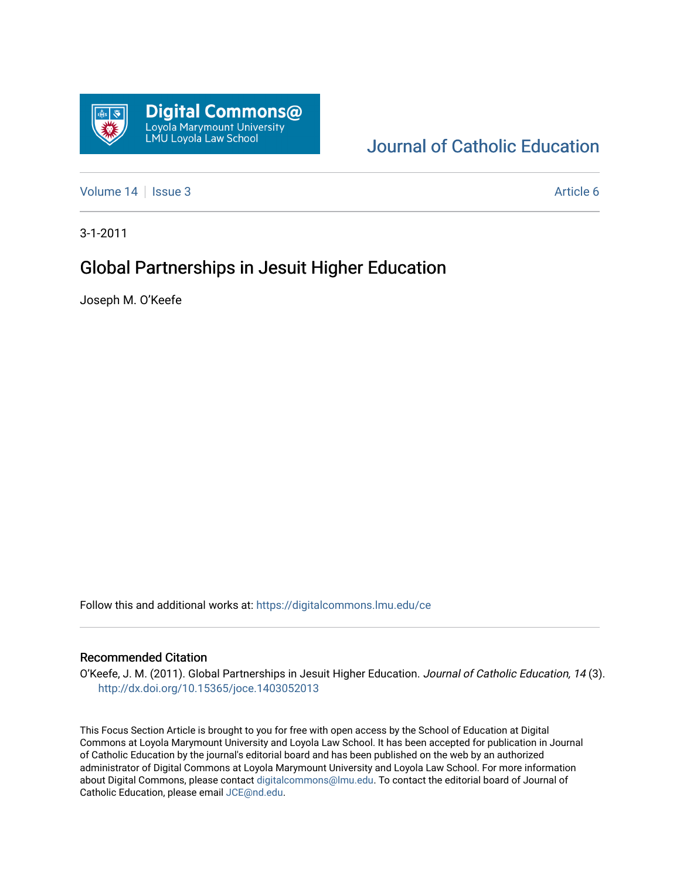

# [Journal of Catholic Education](https://digitalcommons.lmu.edu/ce)

[Volume 14](https://digitalcommons.lmu.edu/ce/vol14) | [Issue 3](https://digitalcommons.lmu.edu/ce/vol14/iss3) Article 6

3-1-2011

## Global Partnerships in Jesuit Higher Education

Joseph M. O'Keefe

Follow this and additional works at: [https://digitalcommons.lmu.edu/ce](https://digitalcommons.lmu.edu/ce?utm_source=digitalcommons.lmu.edu%2Fce%2Fvol14%2Fiss3%2F6&utm_medium=PDF&utm_campaign=PDFCoverPages)

### Recommended Citation

O'Keefe, J. M. (2011). Global Partnerships in Jesuit Higher Education. Journal of Catholic Education, 14 (3). <http://dx.doi.org/10.15365/joce.1403052013>

This Focus Section Article is brought to you for free with open access by the School of Education at Digital Commons at Loyola Marymount University and Loyola Law School. It has been accepted for publication in Journal of Catholic Education by the journal's editorial board and has been published on the web by an authorized administrator of Digital Commons at Loyola Marymount University and Loyola Law School. For more information about Digital Commons, please contact [digitalcommons@lmu.edu](mailto:digitalcommons@lmu.edu). To contact the editorial board of Journal of Catholic Education, please email [JCE@nd.edu.](mailto:JCE@nd.edu)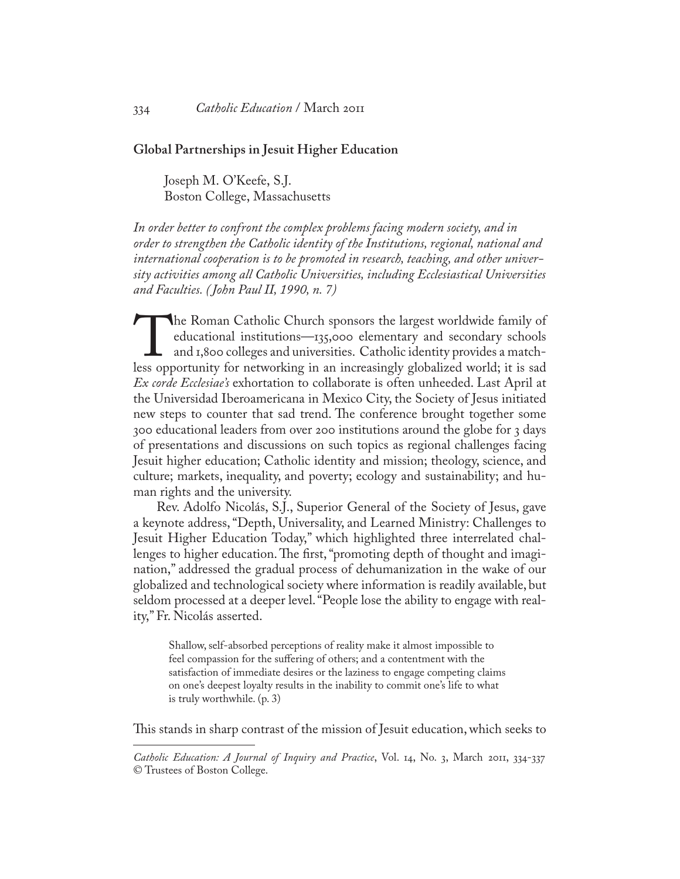**Global Partnerships in Jesuit Higher Education**

Joseph M. O'Keefe, S.J. Boston College, Massachusetts

*In order better to confront the complex problems facing modern society, and in order to strengthen the Catholic identity of the Institutions, regional, national and international cooperation is to be promoted in research, teaching, and other university activities among all Catholic Universities, including Ecclesiastical Universities and Faculties. ( John Paul II, 1990, n. 7)*

The Roman Catholic Church sponsors the largest worldwide family of educational institutions—135,000 elementary and secondary schools and 1,800 colleges and universities. Catholic identity provides a matchless opportunity f educational institutions—135,000 elementary and secondary schools and 1,800 colleges and universities. Catholic identity provides a matchless opportunity for networking in an increasingly globalized world; it is sad *Ex corde Ecclesiae's* exhortation to collaborate is often unheeded. Last April at the Universidad Iberoamericana in Mexico City, the Society of Jesus initiated new steps to counter that sad trend. The conference brought together some 300 educational leaders from over 200 institutions around the globe for 3 days of presentations and discussions on such topics as regional challenges facing Jesuit higher education; Catholic identity and mission; theology, science, and culture; markets, inequality, and poverty; ecology and sustainability; and human rights and the university.

Rev. Adolfo Nicolás, S.J., Superior General of the Society of Jesus, gave a keynote address, "Depth, Universality, and Learned Ministry: Challenges to Jesuit Higher Education Today," which highlighted three interrelated challenges to higher education. The first, "promoting depth of thought and imagination," addressed the gradual process of dehumanization in the wake of our globalized and technological society where information is readily available, but seldom processed at a deeper level. "People lose the ability to engage with reality," Fr. Nicolás asserted.

Shallow, self-absorbed perceptions of reality make it almost impossible to feel compassion for the suffering of others; and a contentment with the satisfaction of immediate desires or the laziness to engage competing claims on one's deepest loyalty results in the inability to commit one's life to what is truly worthwhile. (p. 3)

This stands in sharp contrast of the mission of Jesuit education, which seeks to

*Catholic Education: A Journal of Inquiry and Practice*, Vol. 14, No. 3, March 2011, 334-337 © Trustees of Boston College.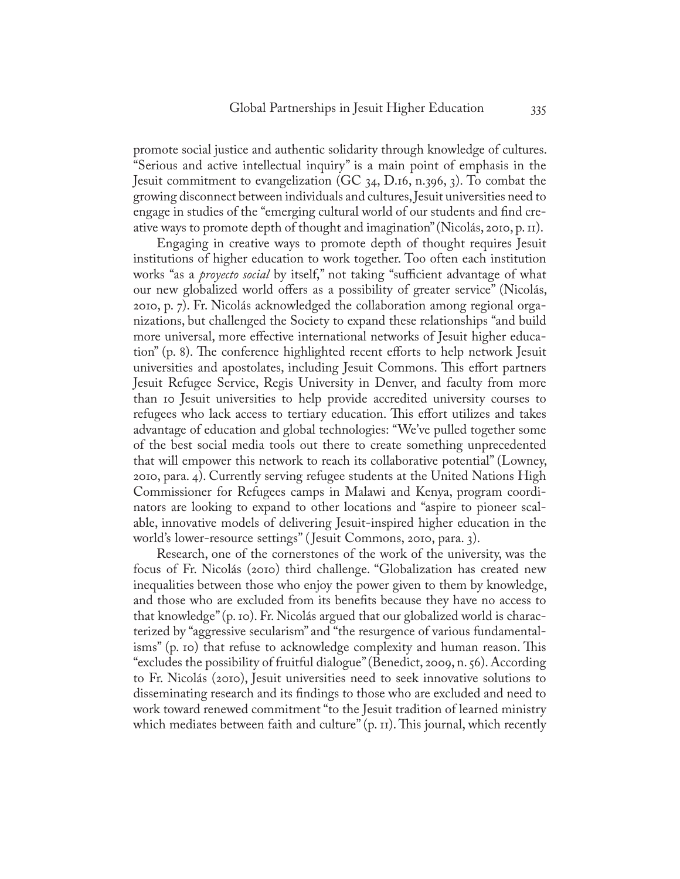promote social justice and authentic solidarity through knowledge of cultures. "Serious and active intellectual inquiry" is a main point of emphasis in the Jesuit commitment to evangelization (GC 34, D.16, n.396, 3). To combat the growing disconnect between individuals and cultures, Jesuit universities need to engage in studies of the "emerging cultural world of our students and find creative ways to promote depth of thought and imagination" (Nicolás, 2010, p. 11).

Engaging in creative ways to promote depth of thought requires Jesuit institutions of higher education to work together. Too often each institution works "as a *proyecto social* by itself," not taking "sufficient advantage of what our new globalized world offers as a possibility of greater service" (Nicolás, 2010, p. 7). Fr. Nicolás acknowledged the collaboration among regional organizations, but challenged the Society to expand these relationships "and build more universal, more effective international networks of Jesuit higher education" (p. 8). The conference highlighted recent efforts to help network Jesuit universities and apostolates, including Jesuit Commons. This effort partners Jesuit Refugee Service, Regis University in Denver, and faculty from more than 10 Jesuit universities to help provide accredited university courses to refugees who lack access to tertiary education. This effort utilizes and takes advantage of education and global technologies: "We've pulled together some of the best social media tools out there to create something unprecedented that will empower this network to reach its collaborative potential" (Lowney, 2010, para. 4). Currently serving refugee students at the United Nations High Commissioner for Refugees camps in Malawi and Kenya, program coordinators are looking to expand to other locations and "aspire to pioneer scalable, innovative models of delivering Jesuit-inspired higher education in the world's lower-resource settings" ( Jesuit Commons, 2010, para. 3).

Research, one of the cornerstones of the work of the university, was the focus of Fr. Nicolás (2010) third challenge. "Globalization has created new inequalities between those who enjoy the power given to them by knowledge, and those who are excluded from its benefits because they have no access to that knowledge" (p. 10). Fr. Nicolás argued that our globalized world is characterized by "aggressive secularism" and "the resurgence of various fundamentalisms" (p. 10) that refuse to acknowledge complexity and human reason. This "excludes the possibility of fruitful dialogue" (Benedict, 2009, n. 56). According to Fr. Nicolás (2010), Jesuit universities need to seek innovative solutions to disseminating research and its findings to those who are excluded and need to work toward renewed commitment "to the Jesuit tradition of learned ministry which mediates between faith and culture" (p. 11). This journal, which recently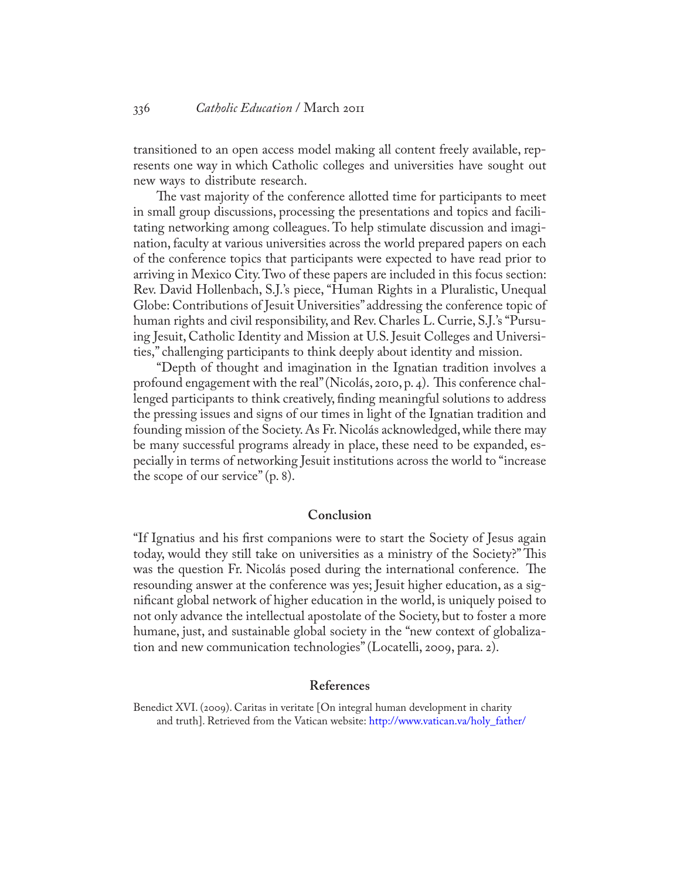transitioned to an open access model making all content freely available, represents one way in which Catholic colleges and universities have sought out new ways to distribute research.

The vast majority of the conference allotted time for participants to meet in small group discussions, processing the presentations and topics and facilitating networking among colleagues. To help stimulate discussion and imagination, faculty at various universities across the world prepared papers on each of the conference topics that participants were expected to have read prior to arriving in Mexico City. Two of these papers are included in this focus section: Rev. David Hollenbach, S.J.'s piece, "Human Rights in a Pluralistic, Unequal Globe: Contributions of Jesuit Universities" addressing the conference topic of human rights and civil responsibility, and Rev. Charles L. Currie, S.J.'s "Pursuing Jesuit, Catholic Identity and Mission at U.S. Jesuit Colleges and Universities," challenging participants to think deeply about identity and mission.

"Depth of thought and imagination in the Ignatian tradition involves a profound engagement with the real" (Nicolás, 2010, p. 4). This conference challenged participants to think creatively, finding meaningful solutions to address the pressing issues and signs of our times in light of the Ignatian tradition and founding mission of the Society. As Fr. Nicolás acknowledged, while there may be many successful programs already in place, these need to be expanded, especially in terms of networking Jesuit institutions across the world to "increase the scope of our service" (p. 8).

#### **Conclusion**

"If Ignatius and his first companions were to start the Society of Jesus again today, would they still take on universities as a ministry of the Society?" This was the question Fr. Nicolás posed during the international conference. The resounding answer at the conference was yes; Jesuit higher education, as a significant global network of higher education in the world, is uniquely poised to not only advance the intellectual apostolate of the Society, but to foster a more humane, just, and sustainable global society in the "new context of globalization and new communication technologies" (Locatelli, 2009, para. 2).

#### **References**

Benedict XVI. (2009). Caritas in veritate [On integral human development in charity and truth]. Retrieved from the Vatican website: http://www.vatican.va/holy\_father/